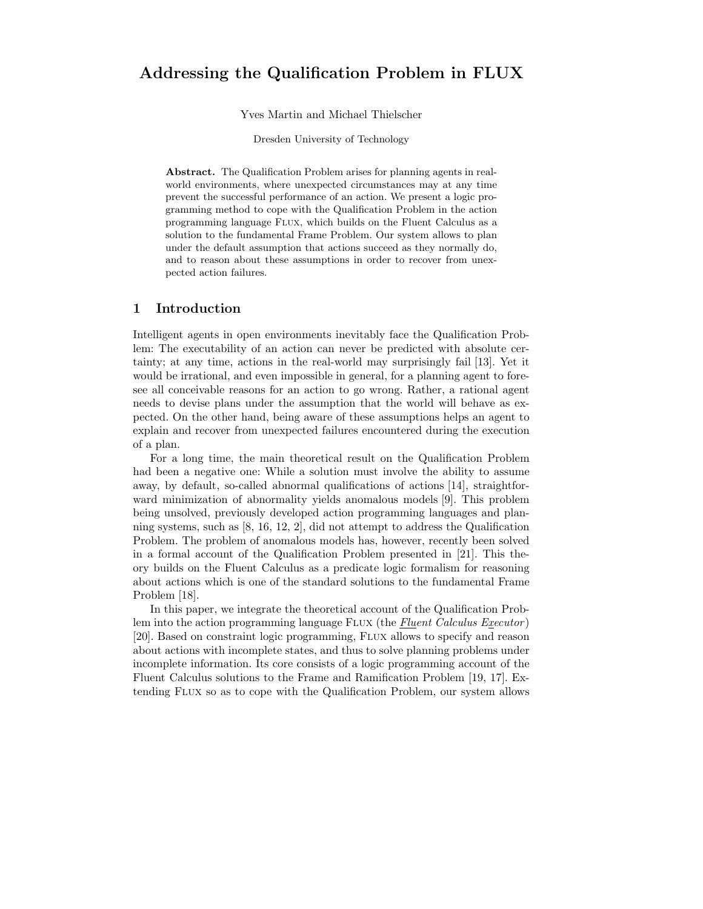# Addressing the Qualification Problem in FLUX

#### Yves Martin and Michael Thielscher

Dresden University of Technology

Abstract. The Qualification Problem arises for planning agents in realworld environments, where unexpected circumstances may at any time prevent the successful performance of an action. We present a logic programming method to cope with the Qualification Problem in the action programming language Flux, which builds on the Fluent Calculus as a solution to the fundamental Frame Problem. Our system allows to plan under the default assumption that actions succeed as they normally do, and to reason about these assumptions in order to recover from unexpected action failures.

# 1 Introduction

Intelligent agents in open environments inevitably face the Qualification Problem: The executability of an action can never be predicted with absolute certainty; at any time, actions in the real-world may surprisingly fail [13]. Yet it would be irrational, and even impossible in general, for a planning agent to foresee all conceivable reasons for an action to go wrong. Rather, a rational agent needs to devise plans under the assumption that the world will behave as expected. On the other hand, being aware of these assumptions helps an agent to explain and recover from unexpected failures encountered during the execution of a plan.

For a long time, the main theoretical result on the Qualification Problem had been a negative one: While a solution must involve the ability to assume away, by default, so-called abnormal qualifications of actions [14], straightforward minimization of abnormality yields anomalous models [9]. This problem being unsolved, previously developed action programming languages and planning systems, such as [8, 16, 12, 2], did not attempt to address the Qualification Problem. The problem of anomalous models has, however, recently been solved in a formal account of the Qualification Problem presented in [21]. This theory builds on the Fluent Calculus as a predicate logic formalism for reasoning about actions which is one of the standard solutions to the fundamental Frame Problem [18].

In this paper, we integrate the theoretical account of the Qualification Problem into the action programming language FLUX (the  $Fluent$  Calculus  $E_x$ ecutor) [20]. Based on constraint logic programming, Flux allows to specify and reason about actions with incomplete states, and thus to solve planning problems under incomplete information. Its core consists of a logic programming account of the Fluent Calculus solutions to the Frame and Ramification Problem [19, 17]. Extending Flux so as to cope with the Qualification Problem, our system allows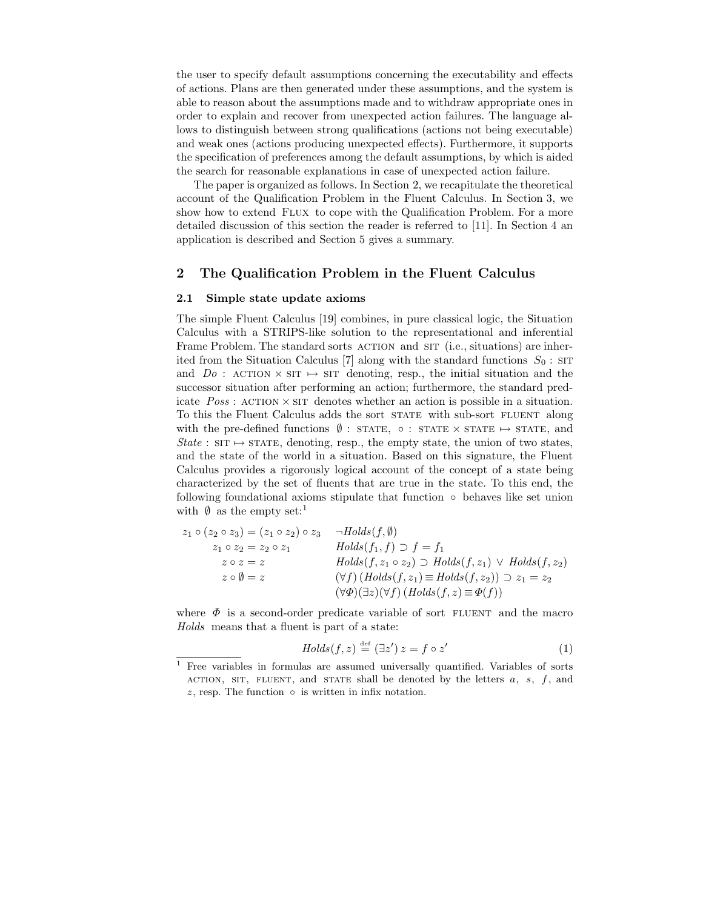the user to specify default assumptions concerning the executability and effects of actions. Plans are then generated under these assumptions, and the system is able to reason about the assumptions made and to withdraw appropriate ones in order to explain and recover from unexpected action failures. The language allows to distinguish between strong qualifications (actions not being executable) and weak ones (actions producing unexpected effects). Furthermore, it supports the specification of preferences among the default assumptions, by which is aided the search for reasonable explanations in case of unexpected action failure.

The paper is organized as follows. In Section 2, we recapitulate the theoretical account of the Qualification Problem in the Fluent Calculus. In Section 3, we show how to extend Flux to cope with the Qualification Problem. For a more detailed discussion of this section the reader is referred to [11]. In Section 4 an application is described and Section 5 gives a summary.

# 2 The Qualification Problem in the Fluent Calculus

#### 2.1 Simple state update axioms

The simple Fluent Calculus [19] combines, in pure classical logic, the Situation Calculus with a STRIPS-like solution to the representational and inferential Frame Problem. The standard sorts ACTION and SIT (i.e., situations) are inherited from the Situation Calculus [7] along with the standard functions  $S_0$ : SIT and  $Do$ : ACTION  $\times$  SIT  $\mapsto$  SIT denoting, resp., the initial situation and the successor situation after performing an action; furthermore, the standard predicate  $Poss:$  action  $\times$  situation. To this the Fluent Calculus adds the sort state with sub-sort fluent along with the pre-defined functions  $\emptyset$ : STATE,  $\circ$ : STATE  $\times$  STATE  $\mapsto$  STATE, and State : SIT  $\mapsto$  STATE, denoting, resp., the empty state, the union of two states, and the state of the world in a situation. Based on this signature, the Fluent Calculus provides a rigorously logical account of the concept of a state being characterized by the set of fluents that are true in the state. To this end, the following foundational axioms stipulate that function ◦ behaves like set union with  $\emptyset$  as the empty set:<sup>1</sup>

| $z_1 \circ (z_2 \circ z_3) = (z_1 \circ z_2) \circ z_3$ | $\neg Holds(f, \emptyset)$                                              |
|---------------------------------------------------------|-------------------------------------------------------------------------|
| $z_1 \circ z_2 = z_2 \circ z_1$                         | $Holds(f_1, f) \supset f = f_1$                                         |
| $z \circ z = z$                                         | $Holds(f, z_1 \circ z_2) \supset Holds(f, z_1) \vee Holds(f, z_2)$      |
| $z \circ \emptyset = z$                                 | $(\forall f)(Holds(f, z_1) \equiv Holds(f, z_2)) \supset z_1 = z_2$     |
|                                                         | $(\forall \Phi)(\exists z)(\forall f)(\text{Holds}(f,z)\equiv \Phi(f))$ |

where  $\Phi$  is a second-order predicate variable of sort FLUENT and the macro Holds means that a fluent is part of a state:

$$
Holds(f, z) \stackrel{\text{def}}{=} (\exists z') z = f \circ z' \tag{1}
$$

<sup>1</sup> Free variables in formulas are assumed universally quantified. Variables of sorts ACTION, SIT, FLUENT, and STATE shall be denoted by the letters  $a, s, f$ , and  $z$ , resp. The function  $\circ$  is written in infix notation.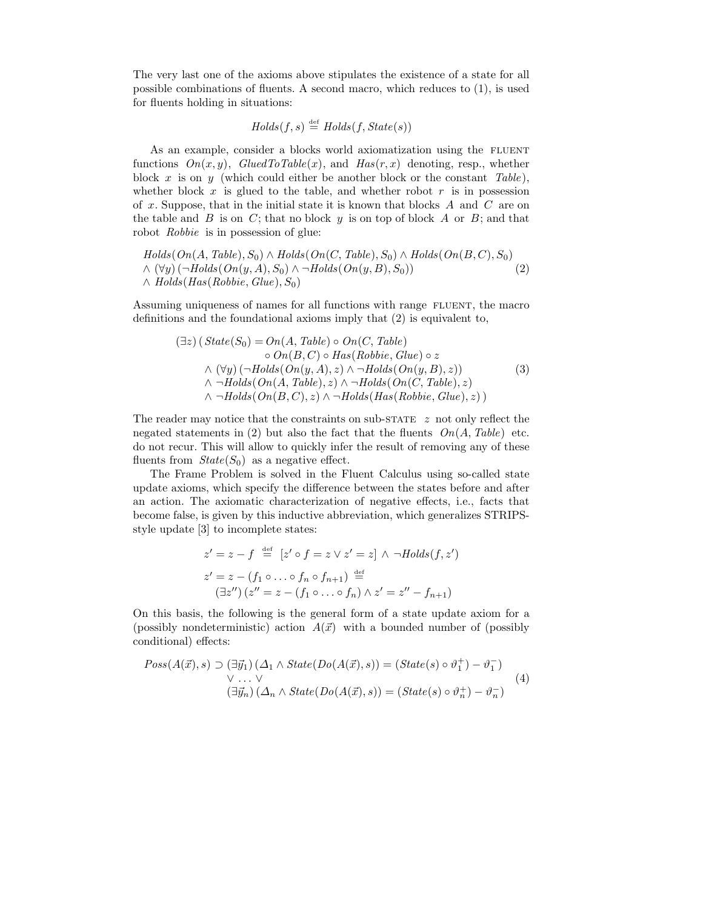The very last one of the axioms above stipulates the existence of a state for all possible combinations of fluents. A second macro, which reduces to (1), is used for fluents holding in situations:

$$
Holds(f, s) \stackrel{\text{def}}{=} Holds(f, State(s))
$$

As an example, consider a blocks world axiomatization using the FLUENT functions  $On(x, y)$ ,  $GluedToTable(x)$ , and  $Has(r, x)$  denoting, resp., whether block x is on y (which could either be another block or the constant  $Table$ ), whether block  $x$  is glued to the table, and whether robot  $r$  is in possession of x. Suppose, that in the initial state it is known that blocks  $A$  and  $C$  are on the table and  $B$  is on  $C$ ; that no block  $y$  is on top of block  $A$  or  $B$ ; and that robot Robbie is in possession of glue:

 $Holds(On(A, Table), S_0) \wedge Holds(On(C, Table), S_0) \wedge Holds(On(B, C), S_0)$  $\wedge (\forall y)(\neg Holds(On(y, A), S_0) \wedge \neg Holds(On(y, B), S_0))$  $\land$  Holds(Has(Robbie, Glue),  $S_0$ ) (2)

Assuming uniqueness of names for all functions with range FLUENT, the macro definitions and the foundational axioms imply that (2) is equivalent to,

$$
(\exists z) \,(\,State(S_0) = On(A, Table) \circ On(C, Table))\n\circ On(B, C) \circ Has(Robbie, Glue) \circ z\n\wedge (\forall y) \,(\neg Holds(On(y, A), z) \wedge \neg Holds(On(y, B), z))\n\wedge \neg Holds(On(A, Table), z) \wedge \neg Holds(On(C, Table), z)\n\wedge \neg Holds(On(B, C), z) \wedge \neg Holds(Has(Robbie, Glue), z))
$$
\n(3)

The reader may notice that the constraints on sub-STATE  $z$  not only reflect the negated statements in (2) but also the fact that the fluents  $On(A, Table)$  etc. do not recur. This will allow to quickly infer the result of removing any of these fluents from  $State(S_0)$  as a negative effect.

The Frame Problem is solved in the Fluent Calculus using so-called state update axioms, which specify the difference between the states before and after an action. The axiomatic characterization of negative effects, i.e., facts that become false, is given by this inductive abbreviation, which generalizes STRIPSstyle update [3] to incomplete states:

$$
z' = z - f \stackrel{\text{def}}{=} [z' \circ f = z \vee z' = z] \wedge \neg Holds(f, z')
$$
  

$$
z' = z - (f_1 \circ \dots \circ f_n \circ f_{n+1}) \stackrel{\text{def}}{=} (\exists z'') (z'' = z - (f_1 \circ \dots \circ f_n) \wedge z' = z'' - f_{n+1})
$$

On this basis, the following is the general form of a state update axiom for a (possibly nondeterministic) action  $A(\vec{x})$  with a bounded number of (possibly conditional) effects:

$$
Poss(A(\vec{x}), s) \supset (\exists \vec{y}_1) (\Delta_1 \wedge State(Do(A(\vec{x}), s)) = (State(s) \circ \vartheta_1^+) - \vartheta_1^-)
$$
  

$$
\vee \dots \vee
$$
  

$$
(\exists \vec{y}_n) (\Delta_n \wedge State(Do(A(\vec{x}), s)) = (State(s) \circ \vartheta_n^+) - \vartheta_n^-)
$$
  

$$
(4)
$$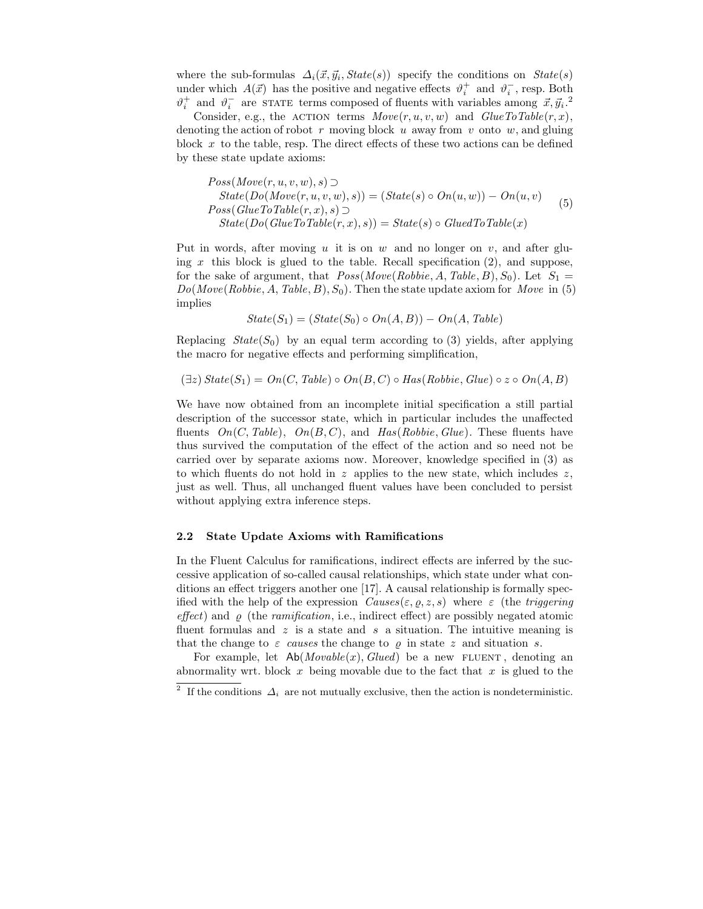where the sub-formulas  $\Delta_i(\vec{x}, \vec{y}_i, State(s))$  specify the conditions on  $State(s)$ under which  $A(\vec{x})$  has the positive and negative effects  $\vartheta_i^+$  and  $\vartheta_i^-$ , resp. Both  $\vartheta_i^+$  and  $\vartheta_i^-$  are STATE terms composed of fluents with variables among  $\vec{x}, \vec{y}_i$ .<sup>2</sup>

Consider, e.g., the ACTION terms  $Move(r, u, v, w)$  and  $GlueToTable(r, x)$ , denoting the action of robot r moving block u away from v onto  $w$ , and gluing block  $x$  to the table, resp. The direct effects of these two actions can be defined by these state update axioms:

$$
Poss(Move(r, u, v, w), s) \supset
$$
  
\n
$$
State(Do(Move(r, u, v, w), s)) = (State(s) \circ On(u, w)) - On(u, v)
$$
  
\n
$$
Poss(GlueToTable(r, x), s) \supset
$$
  
\n
$$
State(Do(GlueToTable(r, x), s)) = State(s) \circ GluedToTable(x)
$$
 (5)

Put in words, after moving u it is on w and no longer on v, and after gluing x this block is glued to the table. Recall specification  $(2)$ , and suppose, for the sake of argument, that  $Poss(Move(Robbie, A, Table, B), S_0)$ . Let  $S_1 =$  $Do(Move(Robbie, A, Table, B), S_0)$ . Then the state update axiom for Move in (5) implies

$$
State(S_1) = (State(S_0) \circ On(A, B)) - On(A, Table)
$$

Replacing  $State(S_0)$  by an equal term according to (3) yields, after applying the macro for negative effects and performing simplification,

$$
(\exists z) State(S_1) = On(C, Table) \circ On(B, C) \circ Has(Robbie, Glue) \circ z \circ On(A, B)
$$

We have now obtained from an incomplete initial specification a still partial description of the successor state, which in particular includes the unaffected fluents  $On(C, Table), On(B, C),$  and  $Has(Robbie, Glue)$ . These fluents have thus survived the computation of the effect of the action and so need not be carried over by separate axioms now. Moreover, knowledge specified in (3) as to which fluents do not hold in  $z$  applies to the new state, which includes  $z$ , just as well. Thus, all unchanged fluent values have been concluded to persist without applying extra inference steps.

### 2.2 State Update Axioms with Ramifications

In the Fluent Calculus for ramifications, indirect effects are inferred by the successive application of so-called causal relationships, which state under what conditions an effect triggers another one [17]. A causal relationship is formally specified with the help of the expression  $Causes(\varepsilon, \rho, z, s)$  where  $\varepsilon$  (the *triggering* effect) and  $\rho$  (the ramification, i.e., indirect effect) are possibly negated atomic fluent formulas and  $z$  is a state and s a situation. The intuitive meaning is that the change to  $\varepsilon$  causes the change to  $\rho$  in state z and situation s.

For example, let  $Ab(Movable(x), Glued)$  be a new FLUENT, denoting an abnormality wrt. block x being movable due to the fact that  $x$  is glued to the

<sup>&</sup>lt;sup>2</sup> If the conditions  $\Delta_i$  are not mutually exclusive, then the action is nondeterministic.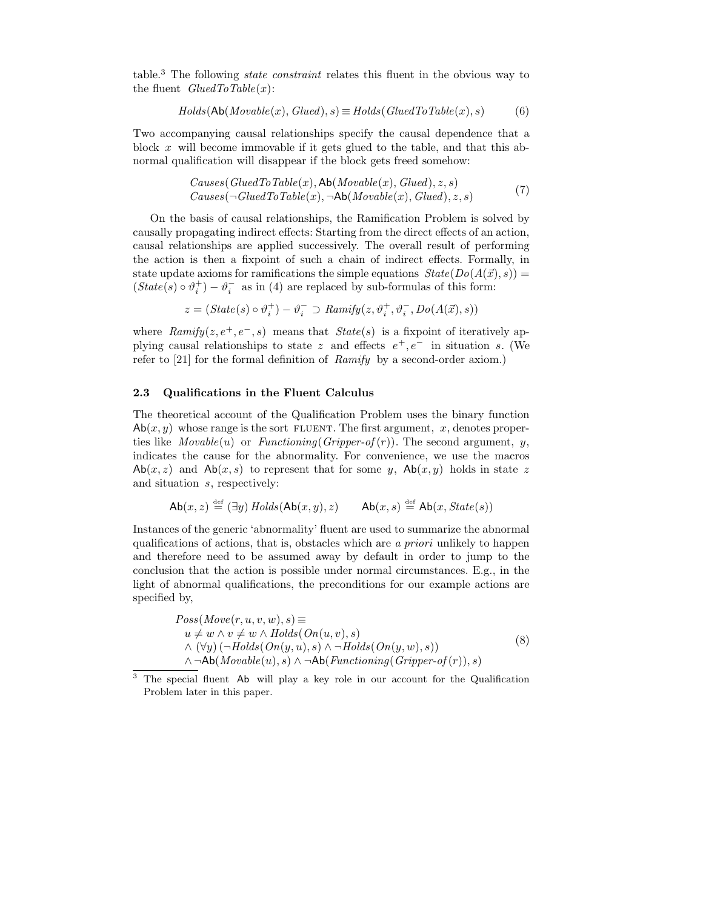table.<sup>3</sup> The following state constraint relates this fluent in the obvious way to the fluent  $GluedToTable(x)$ :

$$
Holds(Ab(Movable(x), Glued), s) \equiv Holds(GluedToTable(x), s)
$$
 (6)

Two accompanying causal relationships specify the causal dependence that a block x will become immovable if it gets glued to the table, and that this abnormal qualification will disappear if the block gets freed somehow:

$$
Causes(GluedToTable(x), Ab(Movable(x), Glued), z, s)
$$
  
\n
$$
Causes(\neg GluedToTable(x), \neg Ab(Movable(x), Glued), z, s)
$$
\n(7)

On the basis of causal relationships, the Ramification Problem is solved by causally propagating indirect effects: Starting from the direct effects of an action, causal relationships are applied successively. The overall result of performing the action is then a fixpoint of such a chain of indirect effects. Formally, in state update axioms for ramifications the simple equations  $State(Do(A(\vec{x}), s)) =$  $(State(s) \circ \vartheta_i^+) - \vartheta_i^-$  as in (4) are replaced by sub-formulas of this form:

$$
z = (State(s) \circ \vartheta_i^+) - \vartheta_i^- \supset \text{Ramify}(z, \vartheta_i^+, \vartheta_i^-, \text{Do}(A(\vec{x}), s))
$$

where  $\textit{Ramify}(z, e^+, e^-, s)$  means that  $\textit{State}(s)$  is a fixpoint of iteratively applying causal relationships to state z and effects  $e^+, e^-$  in situation s. (We refer to  $[21]$  for the formal definition of  $\textit{Ramify}$  by a second-order axiom.)

#### 2.3 Qualifications in the Fluent Calculus

The theoretical account of the Qualification Problem uses the binary function  $\mathsf{Ab}(x, y)$  whose range is the sort FLUENT. The first argument, x, denotes properties like  $Movable(u)$  or  $Functioning(Gripper-of(r))$ . The second argument, y, indicates the cause for the abnormality. For convenience, we use the macros  $\mathsf{Ab}(x, z)$  and  $\mathsf{Ab}(x, s)$  to represent that for some y,  $\mathsf{Ab}(x, y)$  holds in state z and situation s, respectively:

$$
\mathsf{Ab}(x,z) \stackrel{\text{def}}{=} (\exists y) \, \mathit{Holds}(\mathsf{Ab}(x,y),z) \qquad \mathsf{Ab}(x,s) \stackrel{\text{def}}{=} \mathsf{Ab}(x,\mathit{State}(s))
$$

Instances of the generic 'abnormality' fluent are used to summarize the abnormal qualifications of actions, that is, obstacles which are a priori unlikely to happen and therefore need to be assumed away by default in order to jump to the conclusion that the action is possible under normal circumstances. E.g., in the light of abnormal qualifications, the preconditions for our example actions are specified by,

$$
Poss(Move(r, u, v, w), s) \equiv
$$
  
\n
$$
u \neq w \land v \neq w \land Holds(On(u, v), s)
$$
  
\n
$$
\land (\forall y) (\neg Holds(On(y, u), s) \land \neg Holds(On(y, w), s))
$$
  
\n
$$
\land \neg Ab(Movable(u), s) \land \neg Ab(Functioning(Gripper-of(r)), s)
$$
\n(8)

<sup>&</sup>lt;sup>3</sup> The special fluent Ab will play a key role in our account for the Qualification Problem later in this paper.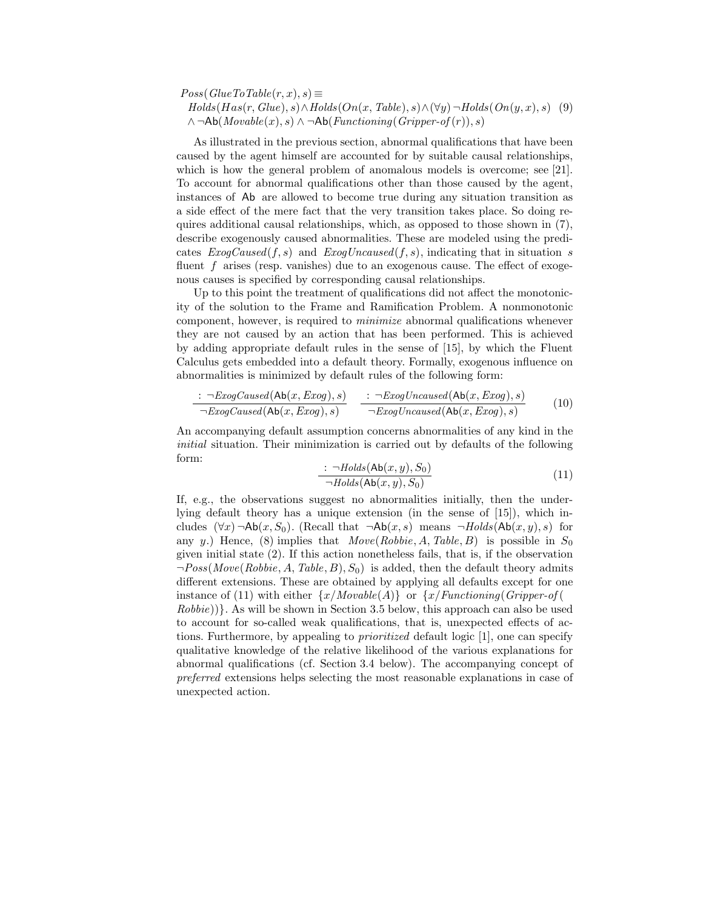$Poss(GlueToTable(r, x), s) \equiv$  $Holds(Has(r, Glue), s) \wedge Holds(On(x, Table), s) \wedge (\forall y) \neg Holds(On(y, x), s)$  (9)  $\land \neg \mathsf{Ab}(Movable(x), s) \land \neg \mathsf{Ab}(Functioning(Gripper-off(r)), s)$ 

As illustrated in the previous section, abnormal qualifications that have been caused by the agent himself are accounted for by suitable causal relationships, which is how the general problem of anomalous models is overcome; see [21]. To account for abnormal qualifications other than those caused by the agent, instances of Ab are allowed to become true during any situation transition as a side effect of the mere fact that the very transition takes place. So doing requires additional causal relationships, which, as opposed to those shown in (7), describe exogenously caused abnormalities. These are modeled using the predicates  $ExogCaused(f, s)$  and  $ExogUncaused(f, s)$ , indicating that in situation s fluent f arises (resp. vanishes) due to an exogenous cause. The effect of exogenous causes is specified by corresponding causal relationships.

Up to this point the treatment of qualifications did not affect the monotonicity of the solution to the Frame and Ramification Problem. A nonmonotonic component, however, is required to minimize abnormal qualifications whenever they are not caused by an action that has been performed. This is achieved by adding appropriate default rules in the sense of [15], by which the Fluent Calculus gets embedded into a default theory. Formally, exogenous influence on abnormalities is minimized by default rules of the following form:

$$
\frac{\div \neg ExogCaused(\text{Ab}(x, Exog), s)}{\neg ExogCaused(\text{Ab}(x, Exog), s)} \quad \frac{\div \neg ExogUncaused(\text{Ab}(x, Exog), s)}{\neg ExogUncaused(\text{Ab}(x, Exog), s)} \tag{10}
$$

An accompanying default assumption concerns abnormalities of any kind in the initial situation. Their minimization is carried out by defaults of the following form:

$$
\therefore \neg Holds(\text{Ab}(x, y), S_0)
$$
  

$$
\neg Holds(\text{Ab}(x, y), S_0)
$$
 (11)

If, e.g., the observations suggest no abnormalities initially, then the underlying default theory has a unique extension (in the sense of [15]), which includes  $(\forall x) \neg \mathsf{Ab}(x, S_0)$ . (Recall that  $\neg \mathsf{Ab}(x, s)$  means  $\neg \mathsf{Holds}(\mathsf{Ab}(x, y), s)$  for any y.) Hence, (8) implies that  $Move(Robbie, A, Table, B)$  is possible in  $S_0$ given initial state (2). If this action nonetheless fails, that is, if the observation  $\neg Poss(Move(Robbie, A, Table, B), S_0)$  is added, then the default theory admits different extensions. These are obtained by applying all defaults except for one instance of (11) with either  $\{x/Movable(A)\}\$  or  $\{x/Functioning(Gripper-of(A))\}$ Robbie))}. As will be shown in Section 3.5 below, this approach can also be used to account for so-called weak qualifications, that is, unexpected effects of actions. Furthermore, by appealing to prioritized default logic [1], one can specify qualitative knowledge of the relative likelihood of the various explanations for abnormal qualifications (cf. Section 3.4 below). The accompanying concept of preferred extensions helps selecting the most reasonable explanations in case of unexpected action.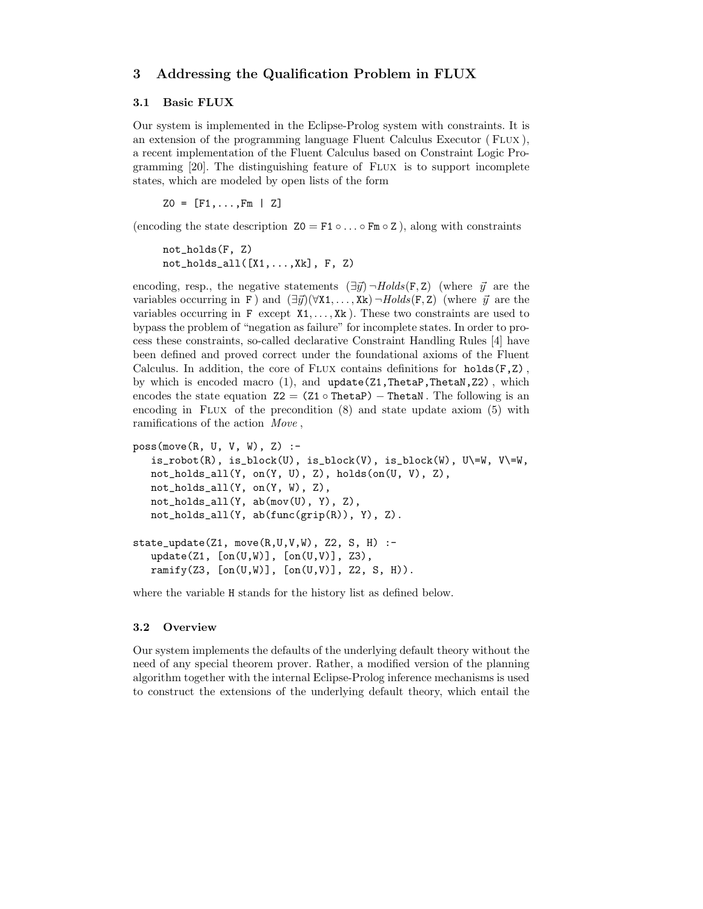# 3 Addressing the Qualification Problem in FLUX

#### 3.1 Basic FLUX

Our system is implemented in the Eclipse-Prolog system with constraints. It is an extension of the programming language Fluent Calculus Executor (FLUX), a recent implementation of the Fluent Calculus based on Constraint Logic Programming [20]. The distinguishing feature of Flux is to support incomplete states, which are modeled by open lists of the form

 $Z0 = [F1, \ldots, Fm | Z]$ 

(encoding the state description  $Z_0 = F_1 \circ \ldots \circ F_m \circ Z$ ), along with constraints

```
not_holds(F, Z)
not\_holds\_all([X1,...,Xk], F, Z)
```
encoding, resp., the negative statements  $(\exists \vec{y}) \neg Holds(\mathbf{F}, \mathbf{Z})$  (where  $\vec{y}$  are the variables occurring in F ) and  $(\exists \vec{y}) (\forall x_1, \ldots, x_k) \neg Holds(F, Z)$  (where  $\vec{y}$  are the variables occurring in  $F$  except  $X1, \ldots, Xk$ ). These two constraints are used to bypass the problem of "negation as failure" for incomplete states. In order to process these constraints, so-called declarative Constraint Handling Rules [4] have been defined and proved correct under the foundational axioms of the Fluent Calculus. In addition, the core of FLUX contains definitions for holds $(F, Z)$ , by which is encoded macro  $(1)$ , and update $(21, \text{Theta}, \text{Theta}, Z2)$ , which encodes the state equation  $Z2 = (Z1 \circ \text{Theta}) - \text{Theta}$ . The following is an encoding in FLUX of the precondition  $(8)$  and state update axiom  $(5)$  with ramifications of the action Move ,

```
poss(move(R, U, V, W), Z) :-
   is\_robot(R), is\_block(U), is\_block(V), is\_block(W), U\leftarrow W, V\leftarrow W,
   not_holds_all(Y, on(Y, U), Z), holds(on(U, V), Z),
   not_holds_all(Y, on(Y, W), Z),
   not_holds_all(Y, ab(mov(U), Y), Z),
   not_holds_all(Y, ab(func(grip(R)), Y), Z).
state_update(Z1, move(R, U, V, W), Z2, S, H) :-
   update(Z1, [on(U,W)], [on(U,V)], Z3),ramify(Z3, [on(U,W)], [on(U,V)], Z2, S, H)).
```
where the variable H stands for the history list as defined below.

### 3.2 Overview

Our system implements the defaults of the underlying default theory without the need of any special theorem prover. Rather, a modified version of the planning algorithm together with the internal Eclipse-Prolog inference mechanisms is used to construct the extensions of the underlying default theory, which entail the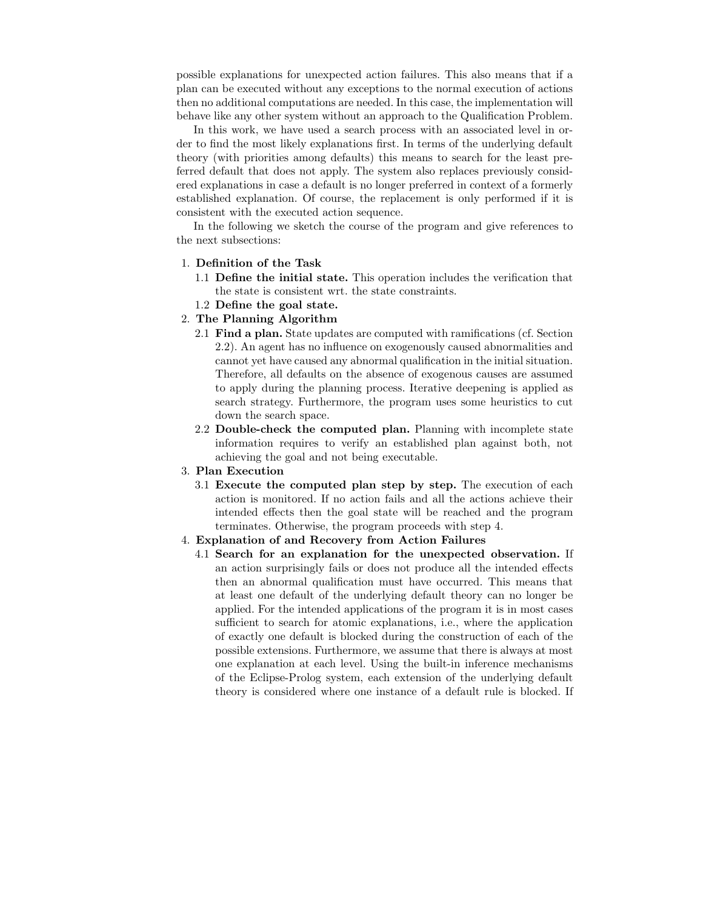possible explanations for unexpected action failures. This also means that if a plan can be executed without any exceptions to the normal execution of actions then no additional computations are needed. In this case, the implementation will behave like any other system without an approach to the Qualification Problem.

In this work, we have used a search process with an associated level in order to find the most likely explanations first. In terms of the underlying default theory (with priorities among defaults) this means to search for the least preferred default that does not apply. The system also replaces previously considered explanations in case a default is no longer preferred in context of a formerly established explanation. Of course, the replacement is only performed if it is consistent with the executed action sequence.

In the following we sketch the course of the program and give references to the next subsections:

### 1. Definition of the Task

- 1.1 Define the initial state. This operation includes the verification that the state is consistent wrt. the state constraints.
- 1.2 Define the goal state.

# 2. The Planning Algorithm

- 2.1 Find a plan. State updates are computed with ramifications (cf. Section 2.2). An agent has no influence on exogenously caused abnormalities and cannot yet have caused any abnormal qualification in the initial situation. Therefore, all defaults on the absence of exogenous causes are assumed to apply during the planning process. Iterative deepening is applied as search strategy. Furthermore, the program uses some heuristics to cut down the search space.
- 2.2 Double-check the computed plan. Planning with incomplete state information requires to verify an established plan against both, not achieving the goal and not being executable.
- 3. Plan Execution
	- 3.1 Execute the computed plan step by step. The execution of each action is monitored. If no action fails and all the actions achieve their intended effects then the goal state will be reached and the program terminates. Otherwise, the program proceeds with step 4.

#### 4. Explanation of and Recovery from Action Failures

4.1 Search for an explanation for the unexpected observation. If an action surprisingly fails or does not produce all the intended effects then an abnormal qualification must have occurred. This means that at least one default of the underlying default theory can no longer be applied. For the intended applications of the program it is in most cases sufficient to search for atomic explanations, i.e., where the application of exactly one default is blocked during the construction of each of the possible extensions. Furthermore, we assume that there is always at most one explanation at each level. Using the built-in inference mechanisms of the Eclipse-Prolog system, each extension of the underlying default theory is considered where one instance of a default rule is blocked. If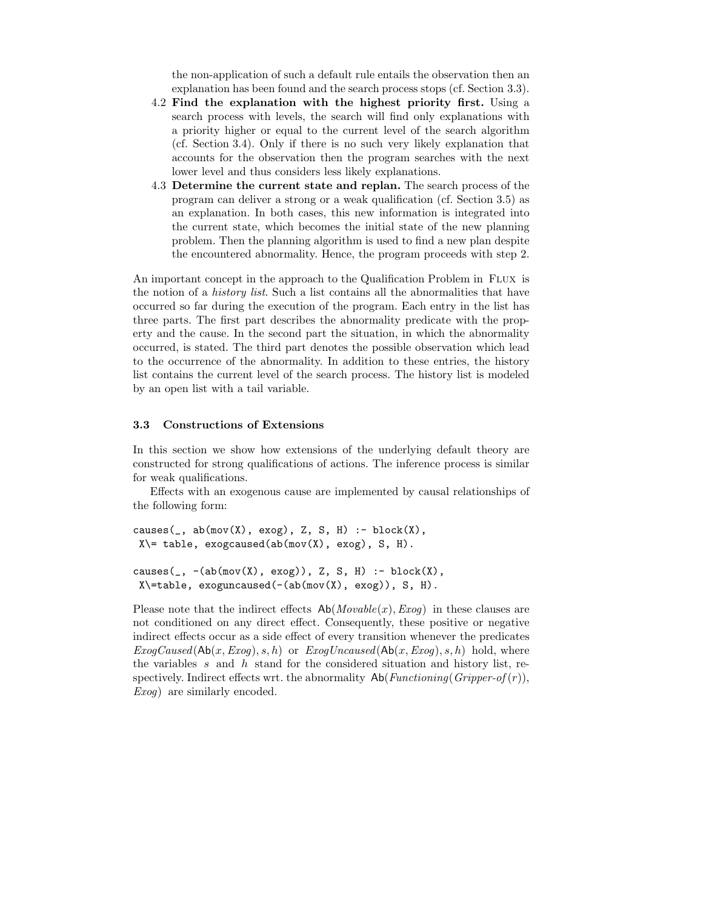the non-application of such a default rule entails the observation then an explanation has been found and the search process stops (cf. Section 3.3).

- 4.2 Find the explanation with the highest priority first. Using a search process with levels, the search will find only explanations with a priority higher or equal to the current level of the search algorithm (cf. Section 3.4). Only if there is no such very likely explanation that accounts for the observation then the program searches with the next lower level and thus considers less likely explanations.
- 4.3 Determine the current state and replan. The search process of the program can deliver a strong or a weak qualification (cf. Section 3.5) as an explanation. In both cases, this new information is integrated into the current state, which becomes the initial state of the new planning problem. Then the planning algorithm is used to find a new plan despite the encountered abnormality. Hence, the program proceeds with step 2.

An important concept in the approach to the Qualification Problem in FLUX is the notion of a *history list*. Such a list contains all the abnormalities that have occurred so far during the execution of the program. Each entry in the list has three parts. The first part describes the abnormality predicate with the property and the cause. In the second part the situation, in which the abnormality occurred, is stated. The third part denotes the possible observation which lead to the occurrence of the abnormality. In addition to these entries, the history list contains the current level of the search process. The history list is modeled by an open list with a tail variable.

### 3.3 Constructions of Extensions

In this section we show how extensions of the underlying default theory are constructed for strong qualifications of actions. The inference process is similar for weak qualifications.

Effects with an exogenous cause are implemented by causal relationships of the following form:

```
causes(\_, ab(mov(X), exog), Z, S, H) :- block(X),X\leftarrow table, exogcaused(ab(mov(X), exog), S, H).
```

```
causes(\_, \text{-}(ab(mov(X), exog)), Z, S, H) : - block(X),
X\leftarrowtable, exoguncaused(-(ab(mov(X), exog)), S, H).
```
Please note that the indirect effects  $Ab(Movable(x),Exog)$  in these clauses are not conditioned on any direct effect. Consequently, these positive or negative indirect effects occur as a side effect of every transition whenever the predicates  $ExogCaused(Ab(x, Exog), s, h)$  or  $ExogUncaused(Ab(x, Exog), s, h)$  hold, where the variables s and h stand for the considered situation and history list, respectively. Indirect effects wrt. the abnormality  $\mathsf{Ab}(Functioning(Gripper-of(r)),$ Exog) are similarly encoded.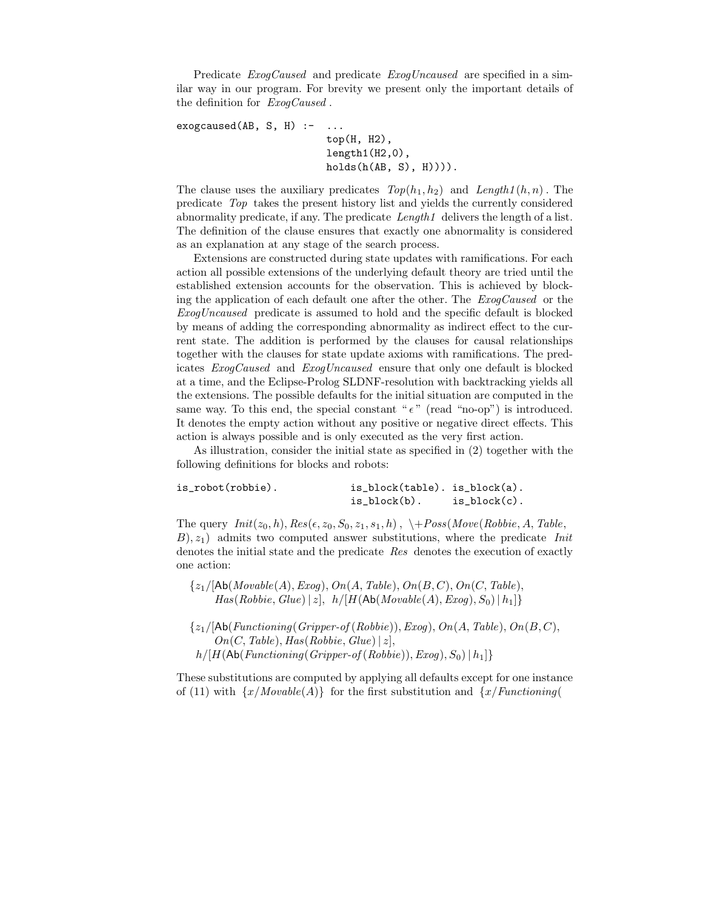Predicate *ExogCaused* and predicate *ExogUncaused* are specified in a similar way in our program. For brevity we present only the important details of the definition for ExogCaused .

```
exogcaused(AB, S, H) :- ...
```

```
top(H, H2),
length1(H2,0),
holds(h(AB, S), H))).
```
The clause uses the auxiliary predicates  $Top(h_1, h_2)$  and  $Length1(h, n)$ . The predicate Top takes the present history list and yields the currently considered abnormality predicate, if any. The predicate  $Length1$  delivers the length of a list. The definition of the clause ensures that exactly one abnormality is considered as an explanation at any stage of the search process.

Extensions are constructed during state updates with ramifications. For each action all possible extensions of the underlying default theory are tried until the established extension accounts for the observation. This is achieved by blocking the application of each default one after the other. The ExogCaused or the ExogUncaused predicate is assumed to hold and the specific default is blocked by means of adding the corresponding abnormality as indirect effect to the current state. The addition is performed by the clauses for causal relationships together with the clauses for state update axioms with ramifications. The predicates ExogCaused and ExogUncaused ensure that only one default is blocked at a time, and the Eclipse-Prolog SLDNF-resolution with backtracking yields all the extensions. The possible defaults for the initial situation are computed in the same way. To this end, the special constant " $\epsilon$ " (read "no-op") is introduced. It denotes the empty action without any positive or negative direct effects. This action is always possible and is only executed as the very first action.

As illustration, consider the initial state as specified in (2) together with the following definitions for blocks and robots:

| is robot(robbie). | $is\_block(table)$ . $is\_block(a)$ . |                  |
|-------------------|---------------------------------------|------------------|
|                   | is $block(b)$ .                       | $is\_block(c)$ . |

The query  $Init(z_0, h), Res(\epsilon, z_0, S_0, z_1, s_1, h)$ ,  $\\ + Poss(Move(Robbie, A, Table,$  $B(x, z_1)$  admits two computed answer substitutions, where the predicate *Init* denotes the initial state and the predicate Res denotes the execution of exactly one action:

 $\{z_1/[\text{Ab}(Movable(A),Exog), On(A, Table), On(B, C), On(C, Table),\$  $Has(Robbie, Glue) | z], h/[H(Ab(Movable(A),Exog), S_0) | h_1]$ 

 $\{z_1/[\text{Ab}(Functioning(Gripper-of(Robbie)),Exog), On(A, Table), On(B, C),\$  $On(C, Table), Has(Robbie, Glue) | z],$  $h/[H(\text{Ab}(Functioning(Gripper-of(Robbie)),Exog), S_0) | h_1]$ 

These substitutions are computed by applying all defaults except for one instance of (11) with  $\{x/Movable(A)\}\$ for the first substitution and  $\{x/Functioning(A)\}\$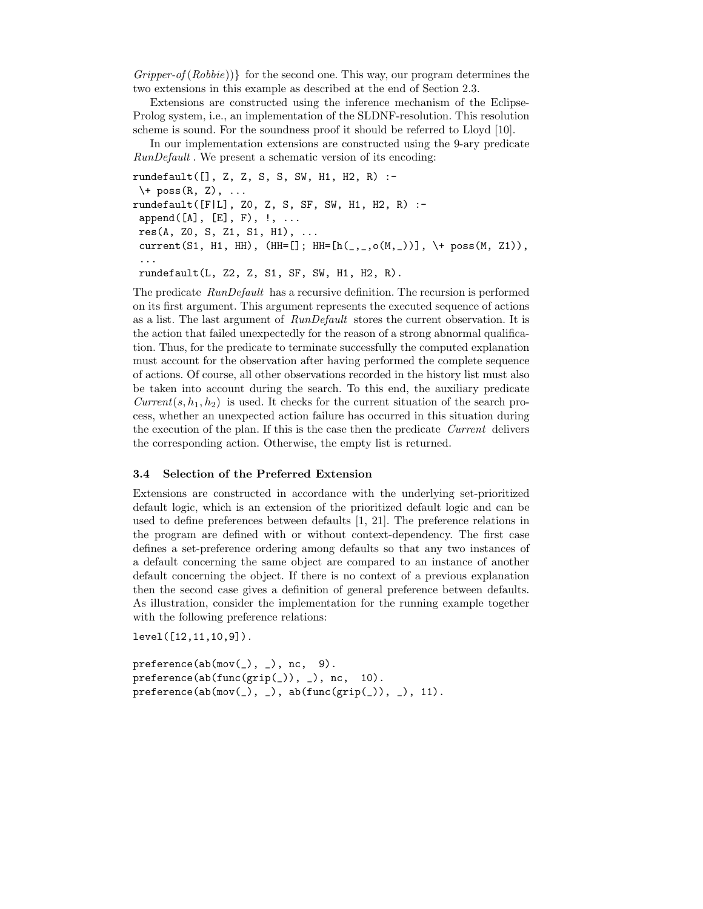$Gripper-of(Robie))\}$  for the second one. This way, our program determines the two extensions in this example as described at the end of Section 2.3.

Extensions are constructed using the inference mechanism of the Eclipse-Prolog system, i.e., an implementation of the SLDNF-resolution. This resolution scheme is sound. For the soundness proof it should be referred to Lloyd [10].

In our implementation extensions are constructed using the 9-ary predicate RunDefault . We present a schematic version of its encoding:

rundefault([], Z, Z, S, S, SW, H1, H2, R) :-  $\setminus$  + poss(R, Z), ... rundefault([F|L], Z0, Z, S, SF, SW, H1, H2, R) :  $append([A], [E], F), !, ...$  $res(A, Z0, S, Z1, S1, H1), \ldots$  $current(S1, H1, HH), (HH=[]; HH=[h(\_,\_,o(M,\_))]$ , \+ poss(M, Z1)), ... rundefault(L, Z2, Z, S1, SF, SW, H1, H2, R).

The predicate RunDefault has a recursive definition. The recursion is performed on its first argument. This argument represents the executed sequence of actions as a list. The last argument of RunDefault stores the current observation. It is the action that failed unexpectedly for the reason of a strong abnormal qualification. Thus, for the predicate to terminate successfully the computed explanation must account for the observation after having performed the complete sequence of actions. Of course, all other observations recorded in the history list must also be taken into account during the search. To this end, the auxiliary predicate  $Current(s, h<sub>1</sub>, h<sub>2</sub>)$  is used. It checks for the current situation of the search process, whether an unexpected action failure has occurred in this situation during the execution of the plan. If this is the case then the predicate Current delivers the corresponding action. Otherwise, the empty list is returned.

# 3.4 Selection of the Preferred Extension

Extensions are constructed in accordance with the underlying set-prioritized default logic, which is an extension of the prioritized default logic and can be used to define preferences between defaults [1, 21]. The preference relations in the program are defined with or without context-dependency. The first case defines a set-preference ordering among defaults so that any two instances of a default concerning the same object are compared to an instance of another default concerning the object. If there is no context of a previous explanation then the second case gives a definition of general preference between defaults. As illustration, consider the implementation for the running example together with the following preference relations:

level([12,11,10,9]).

 $preference(ab(mov(\_), \_), nc, 9).$ preference(ab(func(grip(\_)), \_), nc, 10).  $\verb|preference(ab(mov(_), _), ab(func(grip(_)), _), 11).$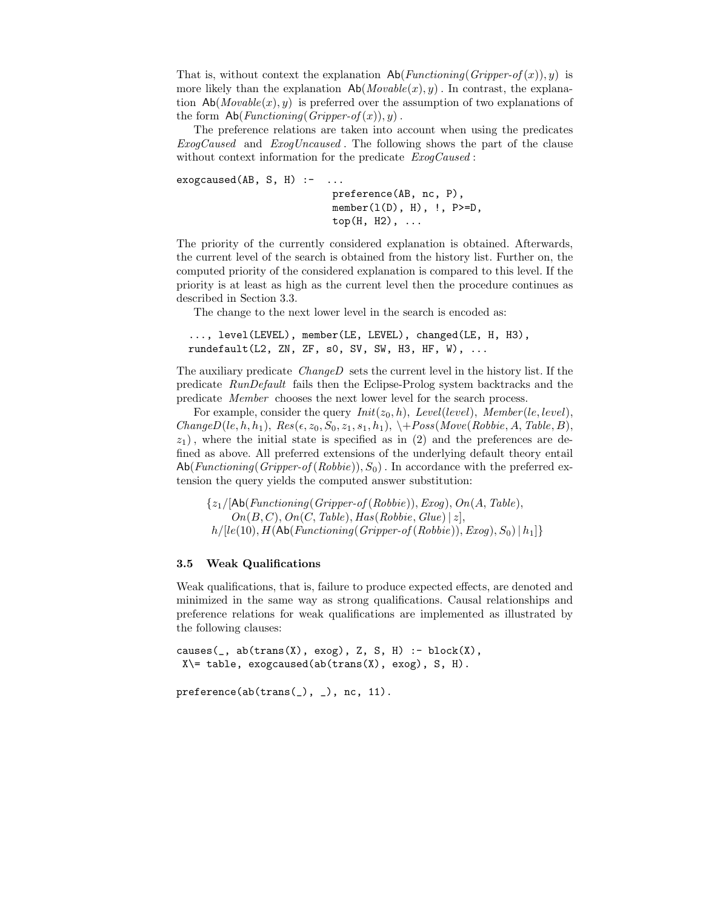That is, without context the explanation  $\mathsf{Ab}(Functioning(Gripper-of(x)), y)$  is more likely than the explanation  $\mathsf{Ab}(Movable(x), y)$ . In contrast, the explanation  $\mathsf{Ab}(Movable(x), y)$  is preferred over the assumption of two explanations of the form  $\mathsf{Ab}(Functioning(Gripper-of(x)), y)$ .

The preference relations are taken into account when using the predicates ExogCaused and ExogUncaused . The following shows the part of the clause without context information for the predicate  $ExogCaused$ :

 $exogcaused(AB, S, H)$  :- ... preference(AB, nc, P),  $member(1(D), H), !, P>=D,$  $top(H, H2), \ldots$ 

The priority of the currently considered explanation is obtained. Afterwards, the current level of the search is obtained from the history list. Further on, the computed priority of the considered explanation is compared to this level. If the priority is at least as high as the current level then the procedure continues as described in Section 3.3.

The change to the next lower level in the search is encoded as:

```
..., level(LEVEL), member(LE, LEVEL), changed(LE, H, H3),
rundefault(L2, ZN, ZF, s0, SV, SW, H3, HF, W), ...
```
The auxiliary predicate ChangeD sets the current level in the history list. If the predicate RunDefault fails then the Eclipse-Prolog system backtracks and the predicate Member chooses the next lower level for the search process.

For example, consider the query  $Init(z_0, h)$ , Level(level), Member(le, level),  $ChangeD(le, h, h_1), Res(\epsilon, z_0, S_0, z_1, s_1, h_1), \ \ \ \ \ \ \ \ \ \ Poss(Move(Robbie, A, Table, B),$  $z_1$ ), where the initial state is specified as in (2) and the preferences are defined as above. All preferred extensions of the underlying default theory entail  $\mathsf{Ab}(\textit{Functioning}(Gripper-of(Robbie)), S_0)$ . In accordance with the preferred extension the query yields the computed answer substitution:

 ${z_1/[\text{Ab}(Functioning(Gripper-of(Robbie)),Exog), On(A, Table),$  $On(B, C), On(C, Table), Has(Robbie, Glue) | z|,$  $h/[le(10), H(Ab(Functioning(Gripper-of(Robbie)),Exog), S_0) | h_1]$ 

#### 3.5 Weak Qualifications

Weak qualifications, that is, failure to produce expected effects, are denoted and minimized in the same way as strong qualifications. Causal relationships and preference relations for weak qualifications are implemented as illustrated by the following clauses:

 $causes(\_, ab(trans(X), exog), Z, S, H) :- block(X),$  $X\leftarrow$  table, exogcaused(ab(trans(X), exog), S, H).

preference(ab(trans(\_), \_), nc, 11).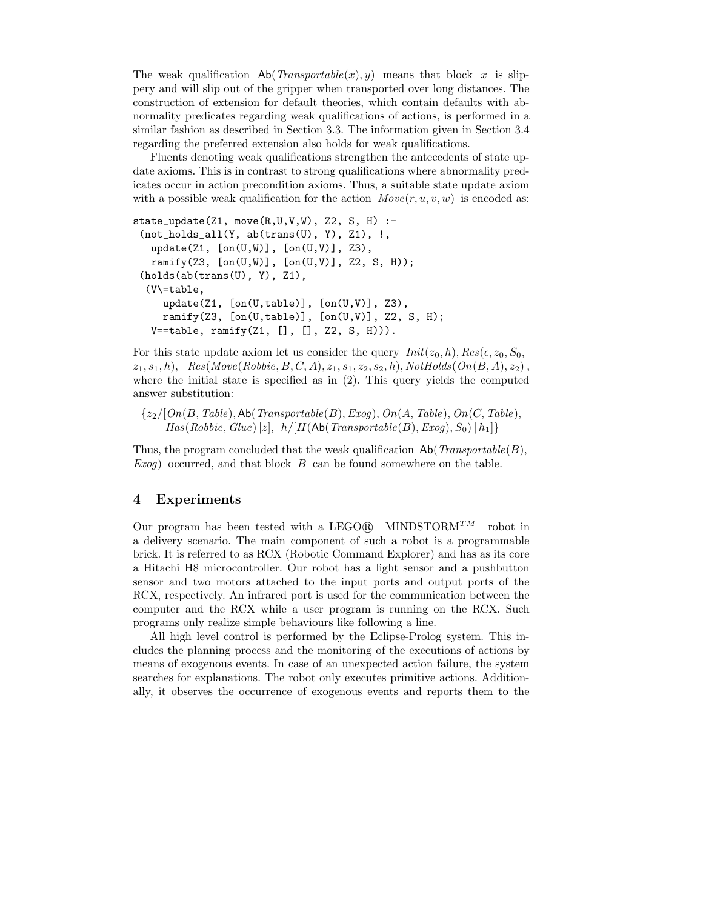The weak qualification  $\mathsf{Ab}(\mathit{Transportable}(x), y)$  means that block x is slippery and will slip out of the gripper when transported over long distances. The construction of extension for default theories, which contain defaults with abnormality predicates regarding weak qualifications of actions, is performed in a similar fashion as described in Section 3.3. The information given in Section 3.4 regarding the preferred extension also holds for weak qualifications.

Fluents denoting weak qualifications strengthen the antecedents of state update axioms. This is in contrast to strong qualifications where abnormality predicates occur in action precondition axioms. Thus, a suitable state update axiom with a possible weak qualification for the action  $Move(r, u, v, w)$  is encoded as:

```
state_update(Z1, move(R, U, V, W), Z2, S, H) :-
 (not\_holds\_all(Y, ab(trans(U), Y), Z1), !update(Z1, [on(U,W)], [on(U,V)], Z3),
  ramify(Z3, [on(U,W)], [on(U,V)], Z2, S, H));
 (holds(ab(trans(U), Y), Z1),(V\=table,
     update(Z1, [on(U,table)], [on(U,V)], Z3),
     ramify(Z3, [on(U, table)], [on(U, V)], Z2, S, H);
  V = =table, ramify(Z1, [], [], Z2, S, H))).
```
For this state update axiom let us consider the query  $Init(z_0, h)$ ,  $Res(\epsilon, z_0, S_0)$ ,  $z_1, s_1, h$ ,  $Res(Move(Robbie, B, C, A), z_1, s_1, z_2, s_2, h)$ ,  $NotHolds(On(B, A), z_2)$ , where the initial state is specified as in (2). This query yields the computed answer substitution:

 ${z_2/[On(B, Table), Ab(Transportable(B),Exog), On(A, Table), On(C, Table)},$  $Has(Robbie, Glue) |z|, h/[H(Ab(Transportable(B), Exog), S_0) | h_1]$ 

Thus, the program concluded that the weak qualification  $\mathsf{Ab}(\mathit{Transportable}(B),\mathit{infinite}(B))$  $Exog$ ) occurred, and that block  $B$  can be found somewhere on the table.

# 4 Experiments

Our program has been tested with a LEGO@R MINDSTORM<sup>TM</sup> robot in a delivery scenario. The main component of such a robot is a programmable brick. It is referred to as RCX (Robotic Command Explorer) and has as its core a Hitachi H8 microcontroller. Our robot has a light sensor and a pushbutton sensor and two motors attached to the input ports and output ports of the RCX, respectively. An infrared port is used for the communication between the computer and the RCX while a user program is running on the RCX. Such programs only realize simple behaviours like following a line.

All high level control is performed by the Eclipse-Prolog system. This includes the planning process and the monitoring of the executions of actions by means of exogenous events. In case of an unexpected action failure, the system searches for explanations. The robot only executes primitive actions. Additionally, it observes the occurrence of exogenous events and reports them to the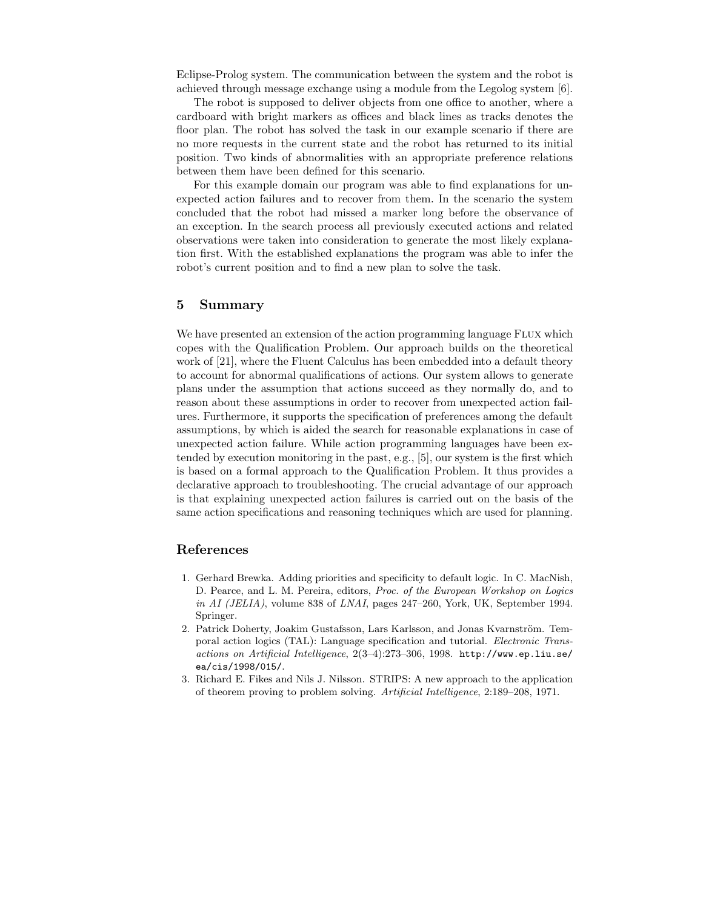Eclipse-Prolog system. The communication between the system and the robot is achieved through message exchange using a module from the Legolog system [6].

The robot is supposed to deliver objects from one office to another, where a cardboard with bright markers as offices and black lines as tracks denotes the floor plan. The robot has solved the task in our example scenario if there are no more requests in the current state and the robot has returned to its initial position. Two kinds of abnormalities with an appropriate preference relations between them have been defined for this scenario.

For this example domain our program was able to find explanations for unexpected action failures and to recover from them. In the scenario the system concluded that the robot had missed a marker long before the observance of an exception. In the search process all previously executed actions and related observations were taken into consideration to generate the most likely explanation first. With the established explanations the program was able to infer the robot's current position and to find a new plan to solve the task.

### 5 Summary

We have presented an extension of the action programming language FLUX which copes with the Qualification Problem. Our approach builds on the theoretical work of [21], where the Fluent Calculus has been embedded into a default theory to account for abnormal qualifications of actions. Our system allows to generate plans under the assumption that actions succeed as they normally do, and to reason about these assumptions in order to recover from unexpected action failures. Furthermore, it supports the specification of preferences among the default assumptions, by which is aided the search for reasonable explanations in case of unexpected action failure. While action programming languages have been extended by execution monitoring in the past, e.g., [5], our system is the first which is based on a formal approach to the Qualification Problem. It thus provides a declarative approach to troubleshooting. The crucial advantage of our approach is that explaining unexpected action failures is carried out on the basis of the same action specifications and reasoning techniques which are used for planning.

# References

- 1. Gerhard Brewka. Adding priorities and specificity to default logic. In C. MacNish, D. Pearce, and L. M. Pereira, editors, Proc. of the European Workshop on Logics in AI (JELIA), volume 838 of LNAI, pages 247–260, York, UK, September 1994. Springer.
- 2. Patrick Doherty, Joakim Gustafsson, Lars Karlsson, and Jonas Kvarnström. Temporal action logics (TAL): Language specification and tutorial. Electronic Transactions on Artificial Intelligence, 2(3–4):273–306, 1998. http://www.ep.liu.se/ ea/cis/1998/015/.
- 3. Richard E. Fikes and Nils J. Nilsson. STRIPS: A new approach to the application of theorem proving to problem solving. Artificial Intelligence, 2:189–208, 1971.